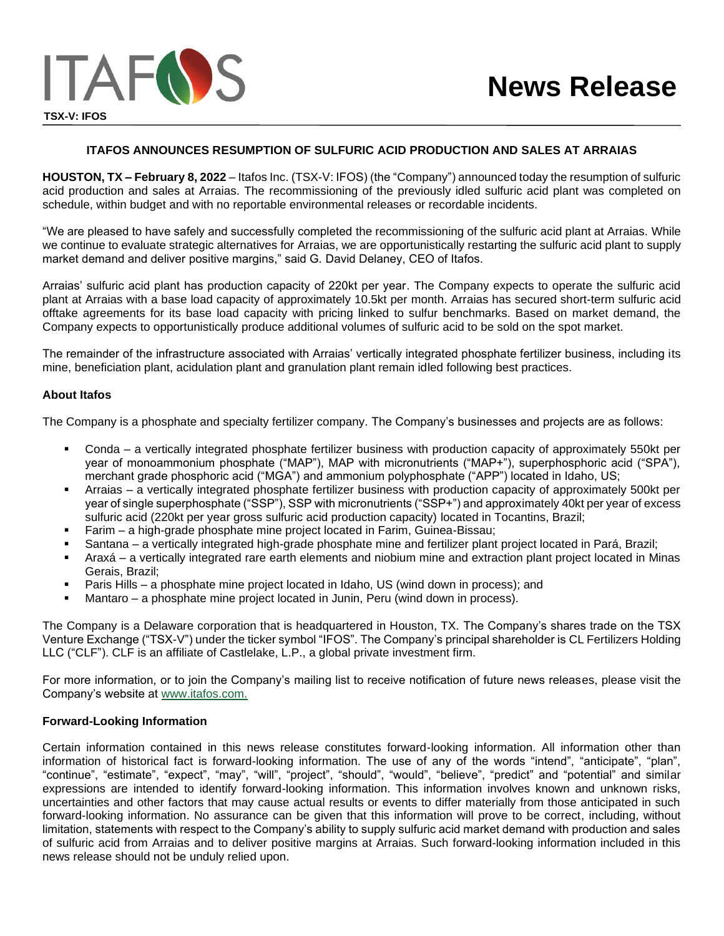## **ITAFOS ANNOUNCES RESUMPTION OF SULFURIC ACID PRODUCTION AND SALES AT ARRAIAS**

**HOUSTON, TX – February 8, 2022** – Itafos Inc. (TSX-V: IFOS) (the "Company") announced today the resumption of sulfuric acid production and sales at Arraias. The recommissioning of the previously idled sulfuric acid plant was completed on schedule, within budget and with no reportable environmental releases or recordable incidents.

"We are pleased to have safely and successfully completed the recommissioning of the sulfuric acid plant at Arraias. While we continue to evaluate strategic alternatives for Arraias, we are opportunistically restarting the sulfuric acid plant to supply market demand and deliver positive margins," said G. David Delaney, CEO of Itafos.

Arraias' sulfuric acid plant has production capacity of 220kt per year. The Company expects to operate the sulfuric acid plant at Arraias with a base load capacity of approximately 10.5kt per month. Arraias has secured short-term sulfuric acid offtake agreements for its base load capacity with pricing linked to sulfur benchmarks. Based on market demand, the Company expects to opportunistically produce additional volumes of sulfuric acid to be sold on the spot market.

The remainder of the infrastructure associated with Arraias' vertically integrated phosphate fertilizer business, including its mine, beneficiation plant, acidulation plant and granulation plant remain idled following best practices.

## **About Itafos**

The Company is a phosphate and specialty fertilizer company. The Company's businesses and projects are as follows:

- Conda a vertically integrated phosphate fertilizer business with production capacity of approximately 550kt per year of monoammonium phosphate ("MAP"), MAP with micronutrients ("MAP+"), superphosphoric acid ("SPA"), merchant grade phosphoric acid ("MGA") and ammonium polyphosphate ("APP") located in Idaho, US;
- Arraias a vertically integrated phosphate fertilizer business with production capacity of approximately 500kt per year of single superphosphate ("SSP"), SSP with micronutrients ("SSP+") and approximately 40kt per year of excess sulfuric acid (220kt per year gross sulfuric acid production capacity) located in Tocantins, Brazil;
- Farim a high-grade phosphate mine project located in Farim, Guinea-Bissau;
- Santana a vertically integrated high-grade phosphate mine and fertilizer plant project located in Pará, Brazil;
- Araxá a vertically integrated rare earth elements and niobium mine and extraction plant project located in Minas Gerais, Brazil;
- Paris Hills a phosphate mine project located in Idaho, US (wind down in process); and
- Mantaro a phosphate mine project located in Junin, Peru (wind down in process).

The Company is a Delaware corporation that is headquartered in Houston, TX. The Company's shares trade on the TSX Venture Exchange ("TSX-V") under the ticker symbol "IFOS". The Company's principal shareholder is CL Fertilizers Holding LLC ("CLF"). CLF is an affiliate of Castlelake, L.P., a global private investment firm.

For more information, or to join the Company's mailing list to receive notification of future news releases, please visit the Company's website at www.itafos.com.

## **Forward-Looking Information**

Certain information contained in this news release constitutes forward-looking information. All information other than information of historical fact is forward-looking information. The use of any of the words "intend", "anticipate", "plan", "continue", "estimate", "expect", "may", "will", "project", "should", "would", "believe", "predict" and "potential" and similar expressions are intended to identify forward-looking information. This information involves known and unknown risks, uncertainties and other factors that may cause actual results or events to differ materially from those anticipated in such forward-looking information. No assurance can be given that this information will prove to be correct, including, without limitation, statements with respect to the Company's ability to supply sulfuric acid market demand with production and sales of sulfuric acid from Arraias and to deliver positive margins at Arraias. Such forward-looking information included in this news release should not be unduly relied upon.